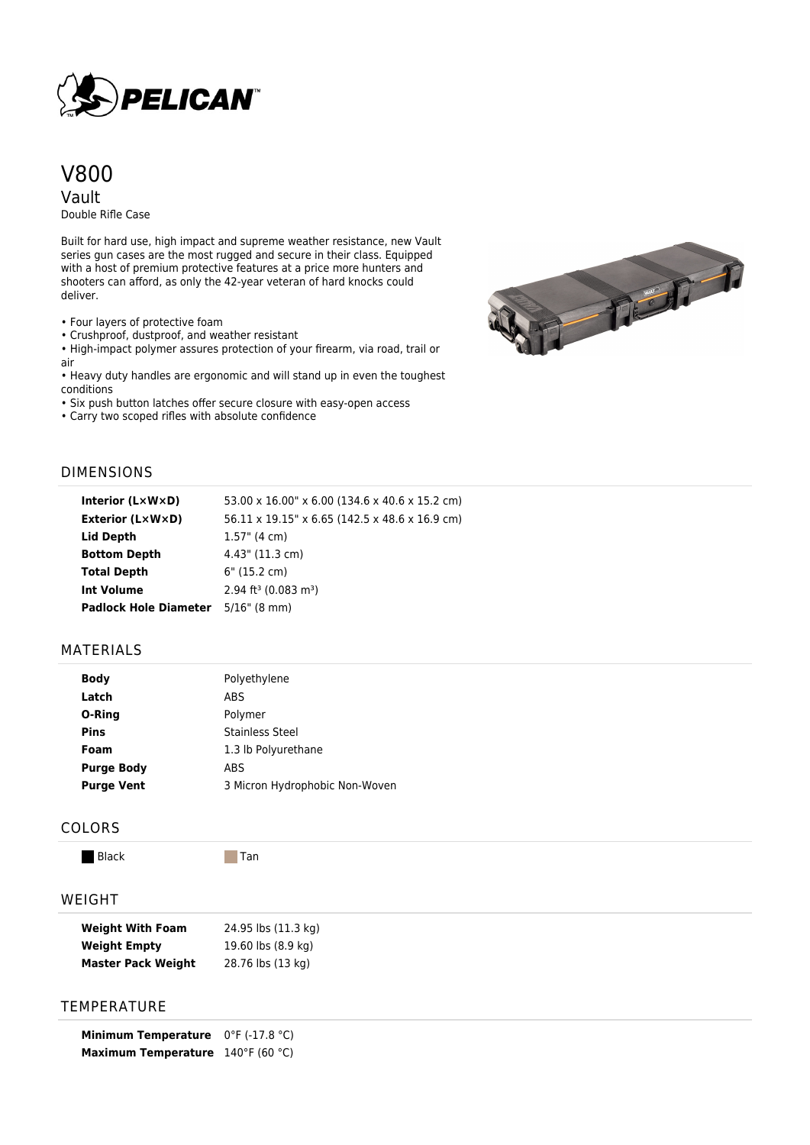

# V800

Vault Double Rifle Case

Built for hard use, high impact and supreme weather resistance, new Vault series gun cases are the most rugged and secure in their class. Equipped with a host of premium protective features at a price more hunters and shooters can afford, as only the 42-year veteran of hard knocks could deliver.

• Four layers of protective foam

• Crushproof, dustproof, and weather resistant

• High-impact polymer assures protection of your firearm, via road, trail or air

• Heavy duty handles are ergonomic and will stand up in even the toughest conditions

• Six push button latches offer secure closure with easy-open access

• Carry two scoped rifles with absolute confidence



### DIMENSIONS

| Interior $(L \times W \times D)$          | 53.00 x 16.00" x 6.00 (134.6 x 40.6 x 15.2 cm) |
|-------------------------------------------|------------------------------------------------|
| Exterior (L×W×D)                          | 56.11 x 19.15" x 6.65 (142.5 x 48.6 x 16.9 cm) |
| Lid Depth                                 | $1.57$ " (4 cm)                                |
| <b>Bottom Depth</b>                       | $4.43$ " (11.3 cm)                             |
| <b>Total Depth</b>                        | 6" (15.2 cm)                                   |
| <b>Int Volume</b>                         | $2.94$ ft <sup>3</sup> (0.083 m <sup>3</sup> ) |
| <b>Padlock Hole Diameter</b> 5/16" (8 mm) |                                                |

# MATERIALS

| Body              | Polyethylene                   |
|-------------------|--------------------------------|
| Latch             | <b>ABS</b>                     |
| O-Ring            | Polymer                        |
| <b>Pins</b>       | <b>Stainless Steel</b>         |
| Foam              | 1.3 lb Polyurethane            |
| <b>Purge Body</b> | ABS                            |
| <b>Purge Vent</b> | 3 Micron Hydrophobic Non-Woven |

#### COLORS

Black Tan

## WEIGHT

| <b>Weight With Foam</b>   | 24.95 lbs (11.3 kg) |
|---------------------------|---------------------|
| <b>Weight Empty</b>       | 19.60 lbs (8.9 kg)  |
| <b>Master Pack Weight</b> | 28.76 lbs (13 kg)   |

# **TEMPERATURE**

**Minimum Temperature** 0°F (-17.8 °C) **Maximum Temperature** 140°F (60 °C)